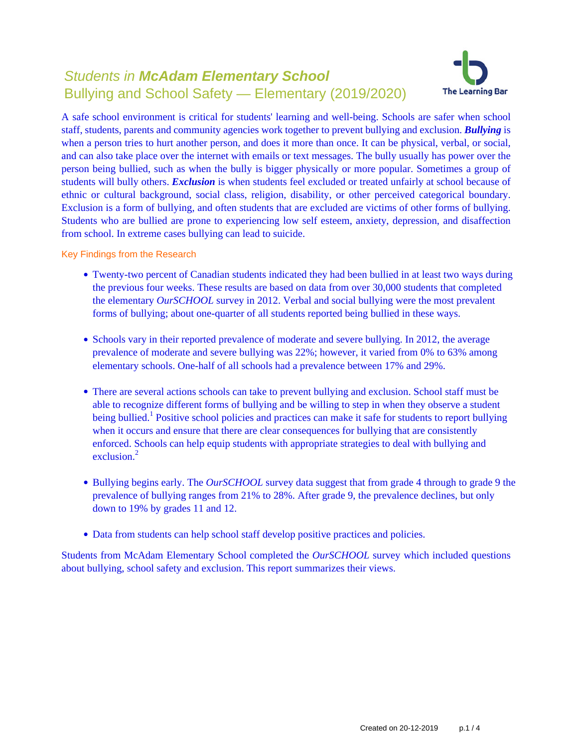# Students in **McAdam Elementary School** Bullying and School Safety — Elementary (2019/2020)



A safe school environment is critical for students' learning and well-being. Schools are safer when school staff, students, parents and community agencies work together to prevent bullying and exclusion. *Bullying* is when a person tries to hurt another person, and does it more than once. It can be physical, verbal, or social, and can also take place over the internet with emails or text messages. The bully usually has power over the person being bullied, such as when the bully is bigger physically or more popular. Sometimes a group of students will bully others. *Exclusion* is when students feel excluded or treated unfairly at school because of ethnic or cultural background, social class, religion, disability, or other perceived categorical boundary. Exclusion is a form of bullying, and often students that are excluded are victims of other forms of bullying. Students who are bullied are prone to experiencing low self esteem, anxiety, depression, and disaffection from school. In extreme cases bullying can lead to suicide.

Key Findings from the Research

- Twenty-two percent of Canadian students indicated they had been bullied in at least two ways during the previous four weeks. These results are based on data from over 30,000 students that completed the elementary *OurSCHOOL* survey in 2012. Verbal and social bullying were the most prevalent forms of bullying; about one-quarter of all students reported being bullied in these ways.
- Schools vary in their reported prevalence of moderate and severe bullying. In 2012, the average prevalence of moderate and severe bullying was 22%; however, it varied from 0% to 63% among elementary schools. One-half of all schools had a prevalence between 17% and 29%.
- There are several actions schools can take to prevent bullying and exclusion. School staff must be able to recognize different forms of bullying and be willing to step in when they observe a student being bullied.<sup>1</sup> Positive school policies and practices can make it safe for students to report bullying when it occurs and ensure that there are clear consequences for bullying that are consistently enforced. Schools can help equip students with appropriate strategies to deal with bullying and exclusion $^2$
- Bullying begins early. The *OurSCHOOL* survey data suggest that from grade 4 through to grade 9 the prevalence of bullying ranges from 21% to 28%. After grade 9, the prevalence declines, but only down to 19% by grades 11 and 12.
- Data from students can help school staff develop positive practices and policies.

Students from McAdam Elementary School completed the *OurSCHOOL* survey which included questions about bullying, school safety and exclusion. This report summarizes their views.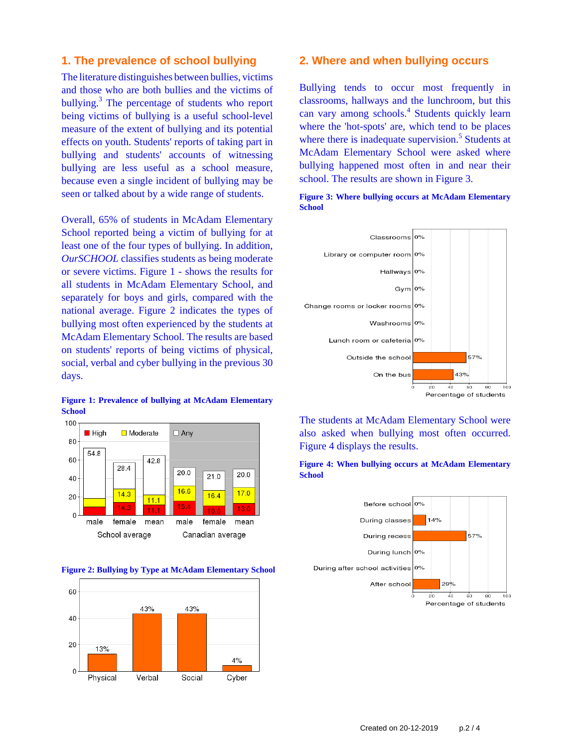# **1. The prevalence of school bullying**

The literature distinguishes between bullies, victims and those who are both bullies and the victims of bullying.<sup>3</sup> The percentage of students who report being victims of bullying is a useful school-level measure of the extent of bullying and its potential effects on youth. Students' reports of taking part in bullying and students' accounts of witnessing bullying are less useful as a school measure, because even a single incident of bullying may be seen or talked about by a wide range of students.

Overall, 65% of students in McAdam Elementary School reported being a victim of bullying for at least one of the four types of bullying. In addition, *OurSCHOOL* classifies students as being moderate or severe victims. Figure 1 - shows the results for all students in McAdam Elementary School, and separately for boys and girls, compared with the national average. Figure 2 indicates the types of bullying most often experienced by the students at McAdam Elementary School. The results are based on students' reports of being victims of physical, social, verbal and cyber bullying in the previous 30 days.

#### **Figure 1: Prevalence of bullying at McAdam Elementary School**



**Figure 2: Bullying by Type at McAdam Elementary School**



### **2. Where and when bullying occurs**

Bullying tends to occur most frequently in classrooms, hallways and the lunchroom, but this can vary among schools.<sup>4</sup> Students quickly learn where the 'hot-spots' are, which tend to be places where there is inadequate supervision.<sup>5</sup> Students at McAdam Elementary School were asked where bullying happened most often in and near their school. The results are shown in Figure 3.

**Figure 3: Where bullying occurs at McAdam Elementary School**



The students at McAdam Elementary School were also asked when bullying most often occurred. Figure 4 displays the results.



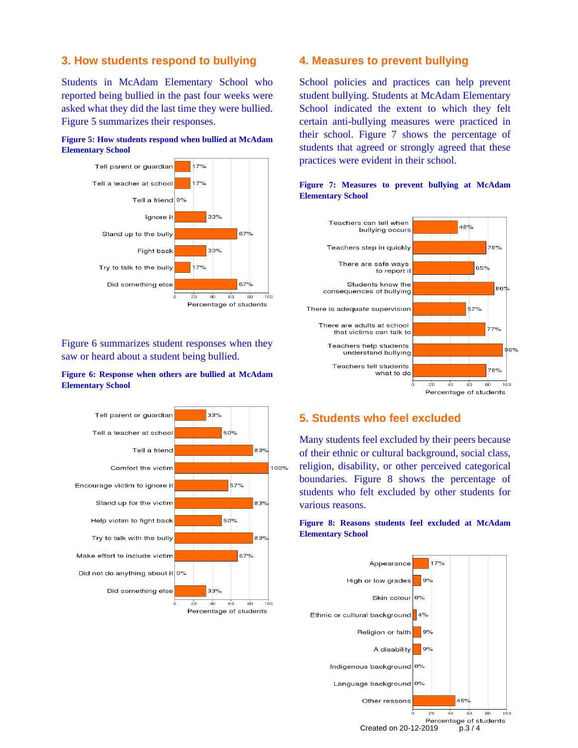# **3. How students respond to bullying**

Students in McAdam Elementary School who reported being bullied in the past four weeks were asked what they did the last time they were bullied. Figure 5 summarizes their responses.





Figure 6 summarizes student responses when they saw or heard about a student being bullied.

### **Figure 6: Response when others are bullied at McAdam Elementary School**



## **4. Measures to prevent bullying**

School policies and practices can help prevent student bullying. Students at McAdam Elementary School indicated the extent to which they felt certain anti-bullying measures were practiced in their school. Figure 7 shows the percentage of students that agreed or strongly agreed that these practices were evident in their school.



### **Figure 7: Measures to prevent bullying at McAdam Elementary School**

# **5. Students who feel excluded**

Many students feel excluded by their peers because of their ethnic or cultural background, social class, religion, disability, or other perceived categorical boundaries. Figure 8 shows the percentage of students who felt excluded by other students for various reasons.

#### **Figure 8: Reasons students feel excluded at McAdam Elementary School**